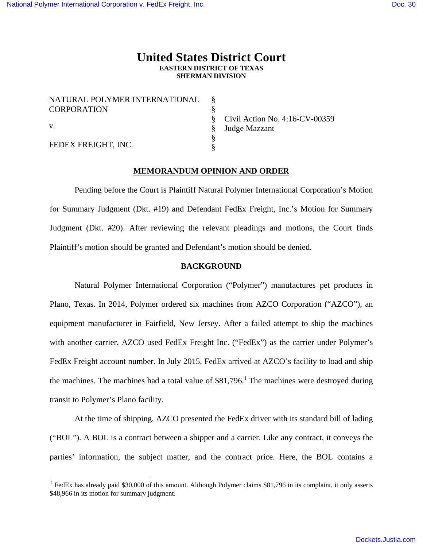$\overline{a}$ 

# **United States District Court EASTERN DISTRICT OF TEXAS SHERMAN DIVISION**

| NATURAL POLYMER INTERNATIONAL<br><b>CORPORATION</b> |  |
|-----------------------------------------------------|--|
| $\mathbf{V}$ .                                      |  |
| FEDEX FREIGHT, INC.                                 |  |

Civil Action No. 4:16-CV-00359 Judge Mazzant

# **MEMORANDUM OPINION AND ORDER**

 Pending before the Court is Plaintiff Natural Polymer International Corporation's Motion for Summary Judgment (Dkt. #19) and Defendant FedEx Freight, Inc.'s Motion for Summary Judgment (Dkt. #20). After reviewing the relevant pleadings and motions, the Court finds Plaintiff's motion should be granted and Defendant's motion should be denied.

## **BACKGROUND**

 Natural Polymer International Corporation ("Polymer") manufactures pet products in Plano, Texas. In 2014, Polymer ordered six machines from AZCO Corporation ("AZCO"), an equipment manufacturer in Fairfield, New Jersey. After a failed attempt to ship the machines with another carrier, AZCO used FedEx Freight Inc. ("FedEx") as the carrier under Polymer's FedEx Freight account number. In July 2015, FedEx arrived at AZCO's facility to load and ship the machines. The machines had a total value of  $$81,796$ .<sup>1</sup> The machines were destroyed during transit to Polymer's Plano facility.

At the time of shipping, AZCO presented the FedEx driver with its standard bill of lading ("BOL"). A BOL is a contract between a shipper and a carrier. Like any contract, it conveys the parties' information, the subject matter, and the contract price. Here, the BOL contains a

<sup>&</sup>lt;sup>1</sup> FedEx has already paid \$30,000 of this amount. Although Polymer claims \$81,796 in its complaint, it only asserts \$48,966 in its motion for summary judgment.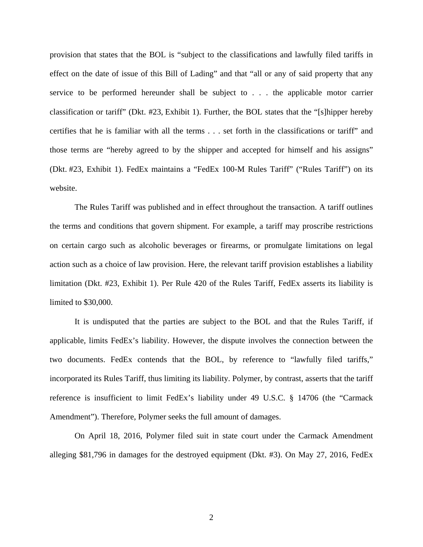provision that states that the BOL is "subject to the classifications and lawfully filed tariffs in effect on the date of issue of this Bill of Lading" and that "all or any of said property that any service to be performed hereunder shall be subject to . . . the applicable motor carrier classification or tariff" (Dkt. #23, Exhibit 1). Further, the BOL states that the "[s]hipper hereby certifies that he is familiar with all the terms . . . set forth in the classifications or tariff" and those terms are "hereby agreed to by the shipper and accepted for himself and his assigns" (Dkt. #23, Exhibit 1). FedEx maintains a "FedEx 100-M Rules Tariff" ("Rules Tariff") on its website.

The Rules Tariff was published and in effect throughout the transaction. A tariff outlines the terms and conditions that govern shipment. For example, a tariff may proscribe restrictions on certain cargo such as alcoholic beverages or firearms, or promulgate limitations on legal action such as a choice of law provision. Here, the relevant tariff provision establishes a liability limitation (Dkt. #23, Exhibit 1). Per Rule 420 of the Rules Tariff, FedEx asserts its liability is limited to \$30,000.

It is undisputed that the parties are subject to the BOL and that the Rules Tariff, if applicable, limits FedEx's liability. However, the dispute involves the connection between the two documents. FedEx contends that the BOL, by reference to "lawfully filed tariffs," incorporated its Rules Tariff, thus limiting its liability. Polymer, by contrast, asserts that the tariff reference is insufficient to limit FedEx's liability under 49 U.S.C. § 14706 (the "Carmack Amendment"). Therefore, Polymer seeks the full amount of damages.

On April 18, 2016, Polymer filed suit in state court under the Carmack Amendment alleging \$81,796 in damages for the destroyed equipment (Dkt. #3). On May 27, 2016, FedEx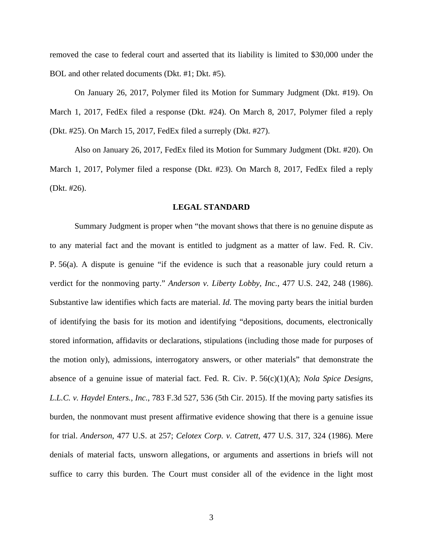removed the case to federal court and asserted that its liability is limited to \$30,000 under the BOL and other related documents (Dkt. #1; Dkt. #5).

On January 26, 2017, Polymer filed its Motion for Summary Judgment (Dkt. #19). On March 1, 2017, FedEx filed a response (Dkt. #24). On March 8, 2017, Polymer filed a reply (Dkt. #25). On March 15, 2017, FedEx filed a surreply (Dkt. #27).

Also on January 26, 2017, FedEx filed its Motion for Summary Judgment (Dkt. #20). On March 1, 2017, Polymer filed a response (Dkt. #23). On March 8, 2017, FedEx filed a reply (Dkt. #26).

#### **LEGAL STANDARD**

Summary Judgment is proper when "the movant shows that there is no genuine dispute as to any material fact and the movant is entitled to judgment as a matter of law. Fed. R. Civ. P. 56(a). A dispute is genuine "if the evidence is such that a reasonable jury could return a verdict for the nonmoving party." *Anderson v. Liberty Lobby, Inc.*, 477 U.S. 242, 248 (1986). Substantive law identifies which facts are material. *Id.* The moving party bears the initial burden of identifying the basis for its motion and identifying "depositions, documents, electronically stored information, affidavits or declarations, stipulations (including those made for purposes of the motion only), admissions, interrogatory answers, or other materials" that demonstrate the absence of a genuine issue of material fact. Fed. R. Civ. P. 56(c)(1)(A); *Nola Spice Designs, L.L.C. v. Haydel Enters., Inc.*, 783 F.3d 527, 536 (5th Cir. 2015). If the moving party satisfies its burden, the nonmovant must present affirmative evidence showing that there is a genuine issue for trial. *Anderson*, 477 U.S. at 257; *Celotex Corp. v. Catrett*, 477 U.S. 317, 324 (1986). Mere denials of material facts, unsworn allegations, or arguments and assertions in briefs will not suffice to carry this burden. The Court must consider all of the evidence in the light most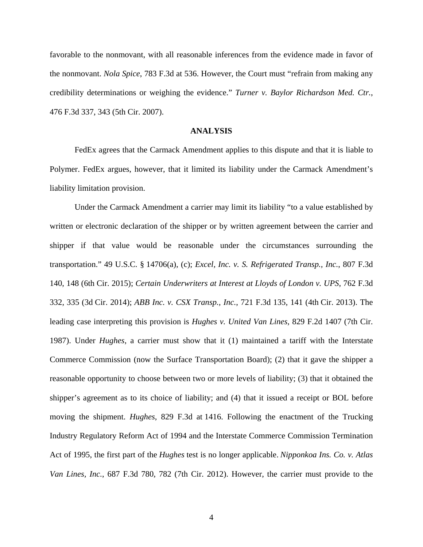favorable to the nonmovant, with all reasonable inferences from the evidence made in favor of the nonmovant. *Nola Spice*, 783 F.3d at 536. However, the Court must "refrain from making any credibility determinations or weighing the evidence." *Turner v. Baylor Richardson Med. Ctr.*, 476 F.3d 337, 343 (5th Cir. 2007).

## **ANALYSIS**

FedEx agrees that the Carmack Amendment applies to this dispute and that it is liable to Polymer. FedEx argues, however, that it limited its liability under the Carmack Amendment's liability limitation provision.

Under the Carmack Amendment a carrier may limit its liability "to a value established by written or electronic declaration of the shipper or by written agreement between the carrier and shipper if that value would be reasonable under the circumstances surrounding the transportation." 49 U.S.C. § 14706(a), (c); *Excel, Inc. v. S. Refrigerated Transp., Inc.*, 807 F.3d 140, 148 (6th Cir. 2015); *Certain Underwriters at Interest at Lloyds of London v. UPS*, 762 F.3d 332, 335 (3d Cir. 2014); *ABB Inc. v. CSX Transp., Inc.*, 721 F.3d 135, 141 (4th Cir. 2013). The leading case interpreting this provision is *Hughes v. United Van Lines*, 829 F.2d 1407 (7th Cir. 1987). Under *Hughes*, a carrier must show that it (1) maintained a tariff with the Interstate Commerce Commission (now the Surface Transportation Board); (2) that it gave the shipper a reasonable opportunity to choose between two or more levels of liability; (3) that it obtained the shipper's agreement as to its choice of liability; and (4) that it issued a receipt or BOL before moving the shipment. *Hughes*, 829 F.3d at 1416. Following the enactment of the Trucking Industry Regulatory Reform Act of 1994 and the Interstate Commerce Commission Termination Act of 1995, the first part of the *Hughes* test is no longer applicable. *Nipponkoa Ins. Co. v. Atlas Van Lines, Inc.*, 687 F.3d 780, 782 (7th Cir. 2012). However, the carrier must provide to the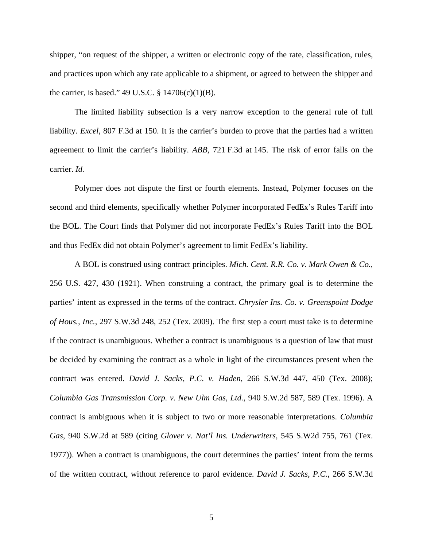shipper, "on request of the shipper, a written or electronic copy of the rate, classification, rules, and practices upon which any rate applicable to a shipment, or agreed to between the shipper and the carrier, is based." 49 U.S.C.  $\S 14706(c)(1)(B)$ .

The limited liability subsection is a very narrow exception to the general rule of full liability. *Excel*, 807 F.3d at 150. It is the carrier's burden to prove that the parties had a written agreement to limit the carrier's liability. *ABB*, 721 F.3d at 145. The risk of error falls on the carrier. *Id.*

Polymer does not dispute the first or fourth elements. Instead, Polymer focuses on the second and third elements, specifically whether Polymer incorporated FedEx's Rules Tariff into the BOL. The Court finds that Polymer did not incorporate FedEx's Rules Tariff into the BOL and thus FedEx did not obtain Polymer's agreement to limit FedEx's liability.

A BOL is construed using contract principles. *Mich. Cent. R.R. Co. v. Mark Owen & Co.*, 256 U.S. 427, 430 (1921). When construing a contract, the primary goal is to determine the parties' intent as expressed in the terms of the contract. *Chrysler Ins. Co. v. Greenspoint Dodge of Hous., Inc.*, 297 S.W.3d 248, 252 (Tex. 2009). The first step a court must take is to determine if the contract is unambiguous. Whether a contract is unambiguous is a question of law that must be decided by examining the contract as a whole in light of the circumstances present when the contract was entered. *David J. Sacks, P.C. v. Haden*, 266 S.W.3d 447, 450 (Tex. 2008); *Columbia Gas Transmission Corp. v. New Ulm Gas, Ltd.*, 940 S.W.2d 587, 589 (Tex. 1996). A contract is ambiguous when it is subject to two or more reasonable interpretations. *Columbia Gas*, 940 S.W.2d at 589 (citing *Glover v. Nat'l Ins. Underwriters*, 545 S.W2d 755, 761 (Tex. 1977)). When a contract is unambiguous, the court determines the parties' intent from the terms of the written contract, without reference to parol evidence. *David J. Sacks, P.C.*, 266 S.W.3d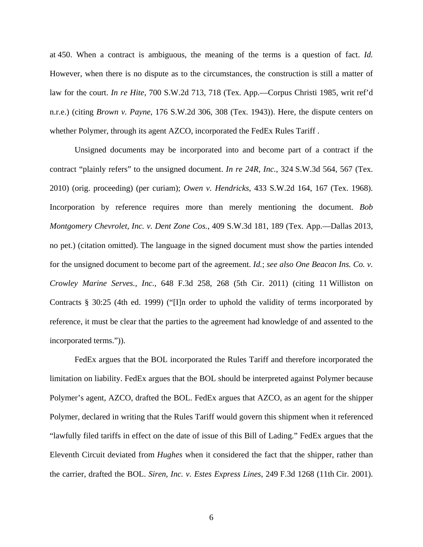at 450. When a contract is ambiguous, the meaning of the terms is a question of fact. *Id.* However, when there is no dispute as to the circumstances, the construction is still a matter of law for the court. *In re Hite*, 700 S.W.2d 713, 718 (Tex. App.—Corpus Christi 1985, writ ref'd n.r.e.) (citing *Brown v. Payne*, 176 S.W.2d 306, 308 (Tex. 1943)). Here, the dispute centers on whether Polymer, through its agent AZCO, incorporated the FedEx Rules Tariff .

Unsigned documents may be incorporated into and become part of a contract if the contract "plainly refers" to the unsigned document. *In re 24R, Inc.*, 324 S.W.3d 564, 567 (Tex. 2010) (orig. proceeding) (per curiam); *Owen v. Hendricks*, 433 S.W.2d 164, 167 (Tex. 1968). Incorporation by reference requires more than merely mentioning the document. *Bob Montgomery Chevrolet, Inc. v. Dent Zone Cos.*, 409 S.W.3d 181, 189 (Tex. App.—Dallas 2013, no pet.) (citation omitted). The language in the signed document must show the parties intended for the unsigned document to become part of the agreement. *Id.*; *see also One Beacon Ins. Co. v. Crowley Marine Serves., Inc.*, 648 F.3d 258, 268 (5th Cir. 2011) (citing 11 Williston on Contracts § 30:25 (4th ed. 1999) ("[I]n order to uphold the validity of terms incorporated by reference, it must be clear that the parties to the agreement had knowledge of and assented to the incorporated terms.")).

FedEx argues that the BOL incorporated the Rules Tariff and therefore incorporated the limitation on liability. FedEx argues that the BOL should be interpreted against Polymer because Polymer's agent, AZCO, drafted the BOL. FedEx argues that AZCO, as an agent for the shipper Polymer, declared in writing that the Rules Tariff would govern this shipment when it referenced "lawfully filed tariffs in effect on the date of issue of this Bill of Lading." FedEx argues that the Eleventh Circuit deviated from *Hughes* when it considered the fact that the shipper, rather than the carrier, drafted the BOL. *Siren, Inc. v. Estes Express Lines*, 249 F.3d 1268 (11th Cir. 2001).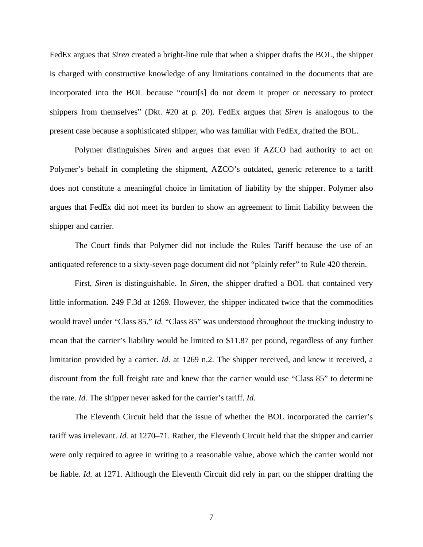FedEx argues that *Siren* created a bright-line rule that when a shipper drafts the BOL, the shipper is charged with constructive knowledge of any limitations contained in the documents that are incorporated into the BOL because "court[s] do not deem it proper or necessary to protect shippers from themselves" (Dkt. #20 at p. 20). FedEx argues that *Siren* is analogous to the present case because a sophisticated shipper, who was familiar with FedEx, drafted the BOL.

Polymer distinguishes *Siren* and argues that even if AZCO had authority to act on Polymer's behalf in completing the shipment, AZCO's outdated, generic reference to a tariff does not constitute a meaningful choice in limitation of liability by the shipper. Polymer also argues that FedEx did not meet its burden to show an agreement to limit liability between the shipper and carrier.

The Court finds that Polymer did not include the Rules Tariff because the use of an antiquated reference to a sixty-seven page document did not "plainly refer" to Rule 420 therein.

First, *Siren* is distinguishable. In *Siren*, the shipper drafted a BOL that contained very little information. 249 F.3d at 1269. However, the shipper indicated twice that the commodities would travel under "Class 85." *Id.* "Class 85" was understood throughout the trucking industry to mean that the carrier's liability would be limited to \$11.87 per pound, regardless of any further limitation provided by a carrier. *Id.* at 1269 n.2. The shipper received, and knew it received, a discount from the full freight rate and knew that the carrier would use "Class 85" to determine the rate. *Id.* The shipper never asked for the carrier's tariff. *Id.*

The Eleventh Circuit held that the issue of whether the BOL incorporated the carrier's tariff was irrelevant. *Id.* at 1270–71. Rather, the Eleventh Circuit held that the shipper and carrier were only required to agree in writing to a reasonable value, above which the carrier would not be liable. *Id.* at 1271. Although the Eleventh Circuit did rely in part on the shipper drafting the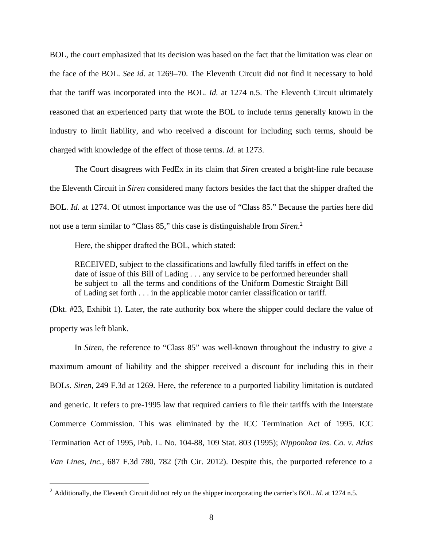BOL, the court emphasized that its decision was based on the fact that the limitation was clear on the face of the BOL. *See id.* at 1269–70. The Eleventh Circuit did not find it necessary to hold that the tariff was incorporated into the BOL. *Id.* at 1274 n.5. The Eleventh Circuit ultimately reasoned that an experienced party that wrote the BOL to include terms generally known in the industry to limit liability, and who received a discount for including such terms, should be charged with knowledge of the effect of those terms. *Id.* at 1273.

The Court disagrees with FedEx in its claim that *Siren* created a bright-line rule because the Eleventh Circuit in *Siren* considered many factors besides the fact that the shipper drafted the BOL. *Id.* at 1274. Of utmost importance was the use of "Class 85." Because the parties here did not use a term similar to "Class 85," this case is distinguishable from *Siren*. 2

Here, the shipper drafted the BOL, which stated:

 $\overline{a}$ 

RECEIVED, subject to the classifications and lawfully filed tariffs in effect on the date of issue of this Bill of Lading . . . any service to be performed hereunder shall be subject to all the terms and conditions of the Uniform Domestic Straight Bill of Lading set forth . . . in the applicable motor carrier classification or tariff.

(Dkt. #23, Exhibit 1). Later, the rate authority box where the shipper could declare the value of property was left blank.

In *Siren*, the reference to "Class 85" was well-known throughout the industry to give a maximum amount of liability and the shipper received a discount for including this in their BOLs. *Siren*, 249 F.3d at 1269. Here, the reference to a purported liability limitation is outdated and generic. It refers to pre-1995 law that required carriers to file their tariffs with the Interstate Commerce Commission. This was eliminated by the ICC Termination Act of 1995. ICC Termination Act of 1995, Pub. L. No. 104-88, 109 Stat. 803 (1995); *Nipponkoa Ins. Co. v. Atlas Van Lines, Inc.*, 687 F.3d 780, 782 (7th Cir. 2012). Despite this, the purported reference to a

<sup>2</sup> Additionally, the Eleventh Circuit did not rely on the shipper incorporating the carrier's BOL. *Id.* at 1274 n.5.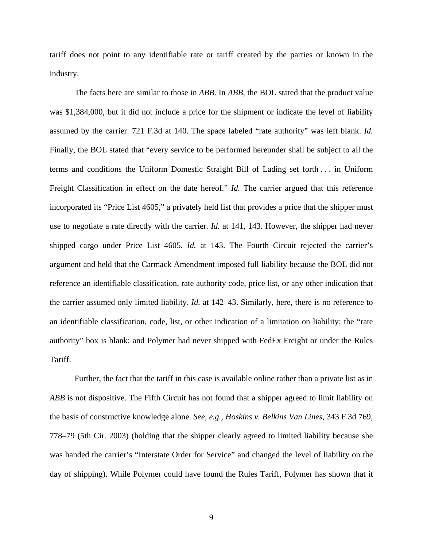tariff does not point to any identifiable rate or tariff created by the parties or known in the industry.

The facts here are similar to those in *ABB*. In *ABB*, the BOL stated that the product value was \$1,384,000, but it did not include a price for the shipment or indicate the level of liability assumed by the carrier. 721 F.3d at 140. The space labeled "rate authority" was left blank. *Id.* Finally, the BOL stated that "every service to be performed hereunder shall be subject to all the terms and conditions the Uniform Domestic Straight Bill of Lading set forth . . . in Uniform Freight Classification in effect on the date hereof." *Id.* The carrier argued that this reference incorporated its "Price List 4605," a privately held list that provides a price that the shipper must use to negotiate a rate directly with the carrier. *Id.* at 141, 143. However, the shipper had never shipped cargo under Price List 4605. *Id.* at 143. The Fourth Circuit rejected the carrier's argument and held that the Carmack Amendment imposed full liability because the BOL did not reference an identifiable classification, rate authority code, price list, or any other indication that the carrier assumed only limited liability. *Id.* at 142–43. Similarly, here, there is no reference to an identifiable classification, code, list, or other indication of a limitation on liability; the "rate authority" box is blank; and Polymer had never shipped with FedEx Freight or under the Rules Tariff.

Further, the fact that the tariff in this case is available online rather than a private list as in *ABB* is not dispositive. The Fifth Circuit has not found that a shipper agreed to limit liability on the basis of constructive knowledge alone. *See, e.g., Hoskins v. Belkins Van Lines*, 343 F.3d 769, 778–79 (5th Cir. 2003) (holding that the shipper clearly agreed to limited liability because she was handed the carrier's "Interstate Order for Service" and changed the level of liability on the day of shipping). While Polymer could have found the Rules Tariff, Polymer has shown that it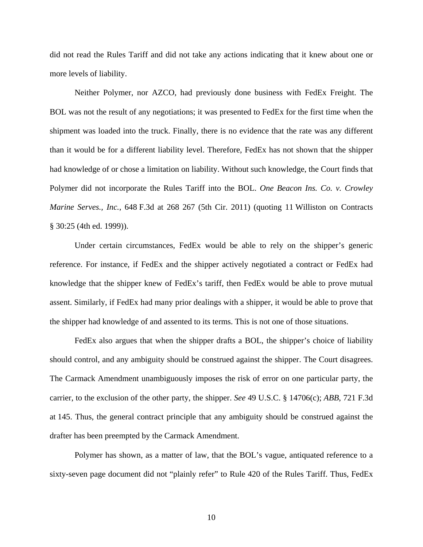did not read the Rules Tariff and did not take any actions indicating that it knew about one or more levels of liability.

Neither Polymer, nor AZCO, had previously done business with FedEx Freight. The BOL was not the result of any negotiations; it was presented to FedEx for the first time when the shipment was loaded into the truck. Finally, there is no evidence that the rate was any different than it would be for a different liability level. Therefore, FedEx has not shown that the shipper had knowledge of or chose a limitation on liability. Without such knowledge, the Court finds that Polymer did not incorporate the Rules Tariff into the BOL. *One Beacon Ins. Co. v. Crowley Marine Serves., Inc.*, 648 F.3d at 268 267 (5th Cir. 2011) (quoting 11 Williston on Contracts § 30:25 (4th ed. 1999)).

Under certain circumstances, FedEx would be able to rely on the shipper's generic reference. For instance, if FedEx and the shipper actively negotiated a contract or FedEx had knowledge that the shipper knew of FedEx's tariff, then FedEx would be able to prove mutual assent. Similarly, if FedEx had many prior dealings with a shipper, it would be able to prove that the shipper had knowledge of and assented to its terms. This is not one of those situations.

FedEx also argues that when the shipper drafts a BOL, the shipper's choice of liability should control, and any ambiguity should be construed against the shipper. The Court disagrees. The Carmack Amendment unambiguously imposes the risk of error on one particular party, the carrier, to the exclusion of the other party, the shipper. *See* 49 U.S.C. § 14706(c); *ABB*, 721 F.3d at 145. Thus, the general contract principle that any ambiguity should be construed against the drafter has been preempted by the Carmack Amendment.

 Polymer has shown, as a matter of law, that the BOL's vague, antiquated reference to a sixty-seven page document did not "plainly refer" to Rule 420 of the Rules Tariff. Thus, FedEx